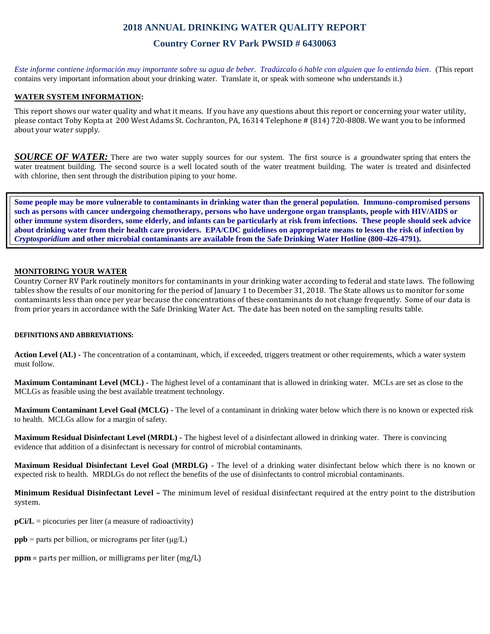## **2018 ANNUAL DRINKING WATER QUALITY REPORT**

## **Country Corner RV Park PWSID # 6430063**

*Este informe contiene información muy importante sobre su agua de beber. Tradúzcalo ó hable con alguien que lo entienda bien.* (This report contains very important information about your drinking water. Translate it, or speak with someone who understands it.)

### **WATER SYSTEM INFORMATION:**

This report shows our water quality and what it means. If you have any questions about this report or concerning your water utility, please contact Toby Kopta at 200 West Adams St. Cochranton, PA, 16314 Telephone # (814) 720-8808. We want you to be informed about your water supply.

*SOURCE OF WATER*: There are two water supply sources for our system. The first source is a groundwater spring that enters the water treatment building. The second source is a well located south of the water treatment building. The water is treated and disinfected with chlorine, then sent through the distribution piping to your home.

**Some people may be more vulnerable to contaminants in drinking water than the general population. Immuno-compromised persons such as persons with cancer undergoing chemotherapy, persons who have undergone organ transplants, people with HIV/AIDS or other immune system disorders, some elderly, and infants can be particularly at risk from infections. These people should seek advice about drinking water from their health care providers. EPA/CDC guidelines on appropriate means to lessen the risk of infection by**  *Cryptosporidium* **and other microbial contaminants are available from the Safe Drinking Water Hotline (800-426-4791).**

#### **MONITORING YOUR WATER**

Country Corner RV Park routinely monitors for contaminants in your drinking water according to federal and state laws. The following tables show the results of our monitoring for the period of January 1 to December 31, 2018. The State allows us to monitor for some contaminants less than once per year because the concentrations of these contaminants do not change frequently. Some of our data is from prior years in accordance with the Safe Drinking Water Act. The date has been noted on the sampling results table.

#### **DEFINITIONS AND ABBREVIATIONS:**

**Action Level (AL) -** The concentration of a contaminant, which, if exceeded, triggers treatment or other requirements, which a water system must follow.

**Maximum Contaminant Level (MCL) -** The highest level of a contaminant that is allowed in drinking water. MCLs are set as close to the MCLGs as feasible using the best available treatment technology.

**Maximum Contaminant Level Goal (MCLG) -** The level of a contaminant in drinking water below which there is no known or expected risk to health. MCLGs allow for a margin of safety.

**Maximum Residual Disinfectant Level (MRDL) -** The highest level of a disinfectant allowed in drinking water. There is convincing evidence that addition of a disinfectant is necessary for control of microbial contaminants.

**Maximum Residual Disinfectant Level Goal (MRDLG) -** The level of a drinking water disinfectant below which there is no known or expected risk to health. MRDLGs do not reflect the benefits of the use of disinfectants to control microbial contaminants.

**Minimum Residual Disinfectant Level –** The minimum level of residual disinfectant required at the entry point to the distribution system.

**pCi/L** = picocuries per liter (a measure of radioactivity)

- **ppb** = parts per billion, or micrograms per liter  $(\mu g/L)$
- **ppm** = parts per million, or milligrams per liter (mg/L)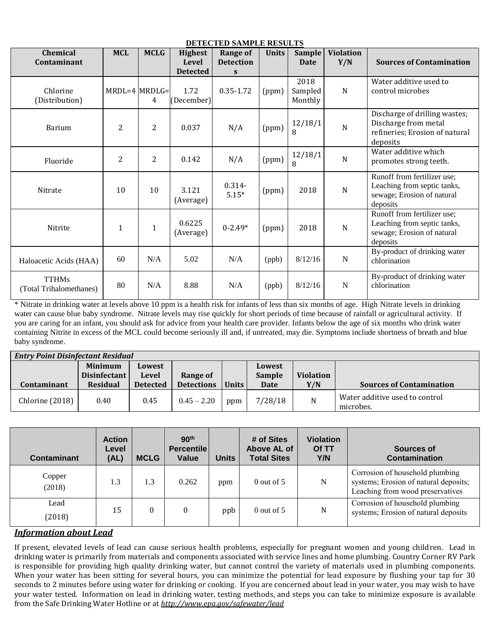| DETECTED SAMPLE RESULTS                 |                   |                |                     |                      |              |                            |                  |                                                                                                      |  |
|-----------------------------------------|-------------------|----------------|---------------------|----------------------|--------------|----------------------------|------------------|------------------------------------------------------------------------------------------------------|--|
| <b>Chemical</b>                         | <b>MCL</b>        | <b>MCLG</b>    | <b>Highest</b>      | <b>Range of</b>      | <b>Units</b> | <b>Sample</b>              | <b>Violation</b> |                                                                                                      |  |
| Contaminant                             |                   |                | <b>Level</b>        | <b>Detection</b>     |              | <b>Date</b>                | Y/N              | <b>Sources of Contamination</b>                                                                      |  |
|                                         |                   |                | <b>Detected</b>     | S                    |              |                            |                  |                                                                                                      |  |
| Chlorine<br>(Distribution)              | $MRDL=4$ $MRDLG=$ | 4              | 1.72<br>(December)  | 0.35-1.72            | (ppm)        | 2018<br>Sampled<br>Monthly | N                | Water additive used to<br>control microbes                                                           |  |
| Barium                                  | $\overline{2}$    | 2              | 0.037               | N/A                  | (ppm)        | 12/18/1<br>8               | $\overline{N}$   | Discharge of drilling wastes;<br>Discharge from metal<br>refineries; Erosion of natural<br>deposits  |  |
| Fluoride                                | $\overline{2}$    | $\overline{2}$ | 0.142               | N/A                  | (ppm)        | 12/18/1<br>8               | $\mathbf N$      | Water additive which<br>promotes strong teeth.                                                       |  |
| Nitrate                                 | 10                | 10             | 3.121<br>(Average)  | $0.314 -$<br>$5.15*$ | (ppm)        | 2018                       | $\overline{N}$   | Runoff from fertilizer use;<br>Leaching from septic tanks,<br>sewage; Erosion of natural<br>deposits |  |
| Nitrite                                 | 1                 | $\mathbf{1}$   | 0.6225<br>(Average) | $0 - 2.49*$          | (ppm)        | 2018                       | $\overline{N}$   | Runoff from fertilizer use;<br>Leaching from septic tanks,<br>sewage; Erosion of natural<br>deposits |  |
| Haloacetic Acids (HAA)                  | 60                | N/A            | 5.02                | N/A                  | (ppb)        | 8/12/16                    | $\mathbf N$      | By-product of drinking water<br>chlorination                                                         |  |
| <b>TTHMs</b><br>(Total Trihalomethanes) | 80                | N/A            | 8.88                | N/A                  | (ppb)        | 8/12/16                    | $\mathbf N$      | By-product of drinking water<br>chlorination                                                         |  |

\* Nitrate in drinking water at levels above 10 ppm is a health risk for infants of less than six months of age. High Nitrate levels in drinking water can cause blue baby syndrome. Nitrate levels may rise quickly for short periods of time because of rainfall or agricultural activity. If you are caring for an infant, you should ask for advice from your health care provider. Infants below the age of six months who drink water containing Nitrite in excess of the MCL could become seriously ill and, if untreated, may die. Symptoms include shortness of breath and blue baby syndrome.

| <b>Entry Point Disinfectant Residual</b> |                 |                 |                   |         |               |                  |                                             |  |  |
|------------------------------------------|-----------------|-----------------|-------------------|---------|---------------|------------------|---------------------------------------------|--|--|
|                                          | <b>Minimum</b>  | Lowest          |                   |         | Lowest        |                  |                                             |  |  |
|                                          | Disinfectant    | Level           | Range of          |         | <b>Sample</b> | <b>Violation</b> |                                             |  |  |
| Contaminant                              | <b>Residual</b> | <b>Detected</b> | <b>Detections</b> | Units i | <b>Date</b>   | Y/N              | <b>Sources of Contamination</b>             |  |  |
| Chlorine (2018)                          | 0.40            | 0.45            | $0.45 - 2.20$     | ppm     | 7/28/18       | ${\rm N}$        | Water additive used to control<br>microbes. |  |  |

| <b>Contaminant</b> | <b>Action</b><br>Level<br>(AL) | <b>MCLG</b>      | 90 <sup>th</sup><br><b>Percentile</b><br>Value | <b>Units</b> | # of Sites<br>Above AL of<br><b>Total Sites</b> | <b>Violation</b><br>Of TT<br>Y/N | Sources of<br>Contamination                                                                                  |
|--------------------|--------------------------------|------------------|------------------------------------------------|--------------|-------------------------------------------------|----------------------------------|--------------------------------------------------------------------------------------------------------------|
| Copper<br>(2018)   | 1.3                            | 1.3              | 0.262                                          | ppm          | $0$ out of 5                                    | N                                | Corrosion of household plumbing<br>systems; Erosion of natural deposits;<br>Leaching from wood preservatives |
| Lead<br>(2018)     | 15                             | $\boldsymbol{0}$ |                                                | ppb          | $0$ out of 5                                    | N                                | Corrosion of household plumbing<br>systems; Erosion of natural deposits                                      |

# *Information about Lead*

If present, elevated levels of lead can cause serious health problems, especially for pregnant women and young children. Lead in drinking water is primarily from materials and components associated with service lines and home plumbing. Country Corner RV Park is responsible for providing high quality drinking water, but cannot control the variety of materials used in plumbing components. When your water has been sitting for several hours, you can minimize the potential for lead exposure by flushing your tap for 30 seconds to 2 minutes before using water for drinking or cooking. If you are concerned about lead in your water, you may wish to have your water tested. Information on lead in drinking water, testing methods, and steps you can take to minimize exposure is available from the Safe Drinking Water Hotline or at *<http://www.epa.gov/safewater/lead>*